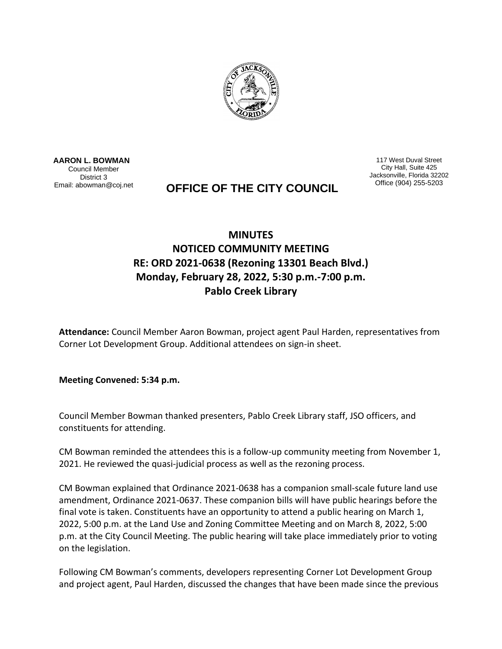

 **AARON L. BOWMAN** Council Member District 3 Email: abowman@coj.net

117 West Duval Street City Hall, Suite 425 Jacksonville, Florida 32202

## **OFFICE OF THE CITY COUNCIL**

## **MINUTES NOTICED COMMUNITY MEETING RE: ORD 2021-0638 (Rezoning 13301 Beach Blvd.) Monday, February 28, 2022, 5:30 p.m.-7:00 p.m. Pablo Creek Library**

**Attendance:** Council Member Aaron Bowman, project agent Paul Harden, representatives from Corner Lot Development Group. Additional attendees on sign-in sheet.

**Meeting Convened: 5:34 p.m.**

Council Member Bowman thanked presenters, Pablo Creek Library staff, JSO officers, and constituents for attending.

CM Bowman reminded the attendees this is a follow-up community meeting from November 1, 2021. He reviewed the quasi-judicial process as well as the rezoning process.

CM Bowman explained that Ordinance 2021-0638 has a companion small-scale future land use amendment, Ordinance 2021-0637. These companion bills will have public hearings before the final vote is taken. Constituents have an opportunity to attend a public hearing on March 1, 2022, 5:00 p.m. at the Land Use and Zoning Committee Meeting and on March 8, 2022, 5:00 p.m. at the City Council Meeting. The public hearing will take place immediately prior to voting on the legislation.

Following CM Bowman's comments, developers representing Corner Lot Development Group and project agent, Paul Harden, discussed the changes that have been made since the previous